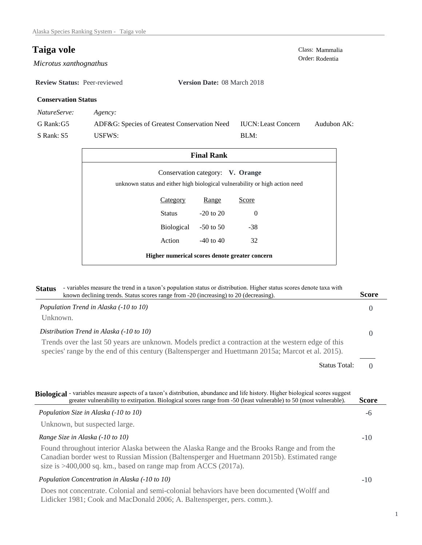$Microsoftus$  *xanthognathus* 

**Review Status:** Peer-reviewed **Version Date:** 08 March 2018

# **Conservation Status**

*NatureServe: Agency:*

G Rank:G5 S Rank: S5 ADF&G: Species of Greatest Conservation Need USFWS: Audubon AK: BLM: IUCN:Least Concern

| <b>Final Rank</b>                                                                                               |                           |          |  |  |
|-----------------------------------------------------------------------------------------------------------------|---------------------------|----------|--|--|
| Conservation category: V. Orange<br>unknown status and either high biological vulnerability or high action need |                           |          |  |  |
| Category                                                                                                        | Range                     | Score    |  |  |
| Status                                                                                                          | $-20$ to $20$             | $\Omega$ |  |  |
|                                                                                                                 | Biological<br>$-50$ to 50 | $-38$    |  |  |
| Action                                                                                                          | $-40$ to $40$             | 32       |  |  |
| Higher numerical scores denote greater concern                                                                  |                           |          |  |  |

| - variables measure the trend in a taxon's population status or distribution. Higher status scores denote taxa with<br><b>Status</b><br>known declining trends. Status scores range from -20 (increasing) to 20 (decreasing).                                   | Score              |
|-----------------------------------------------------------------------------------------------------------------------------------------------------------------------------------------------------------------------------------------------------------------|--------------------|
| Population Trend in Alaska (-10 to 10)                                                                                                                                                                                                                          | $\Omega$           |
| Unknown.                                                                                                                                                                                                                                                        |                    |
| Distribution Trend in Alaska (-10 to 10)                                                                                                                                                                                                                        | $\Omega$           |
| Trends over the last 50 years are unknown. Models predict a contraction at the western edge of this<br>species' range by the end of this century (Baltensperger and Huettmann 2015a; Marcot et al. 2015).                                                       |                    |
| <b>Status Total:</b>                                                                                                                                                                                                                                            | $\Omega$           |
| greater vulnerability to extirpation. Biological scores range from -50 (least vulnerable) to 50 (most vulnerable).<br>Population Size in Alaska (-10 to 10)                                                                                                     | <b>Score</b><br>-6 |
| Unknown, but suspected large.                                                                                                                                                                                                                                   |                    |
| Range Size in Alaska (-10 to 10)                                                                                                                                                                                                                                | $-10$              |
| Found throughout interior Alaska between the Alaska Range and the Brooks Range and from the<br>Canadian border west to Russian Mission (Baltensperger and Huetmann 2015b). Estimated range<br>size is $>400,000$ sq. km., based on range map from ACCS (2017a). |                    |
| Population Concentration in Alaska (-10 to 10)                                                                                                                                                                                                                  | $-10$              |
|                                                                                                                                                                                                                                                                 |                    |

Does not concentrate. Colonial and semi-colonial behaviors have been documented (Wolff and Lidicker 1981; Cook and MacDonald 2006; A. Baltensperger, pers. comm.).

1

**Taiga vole**<br>
Class: Mammalia<br>
Order: Rodentia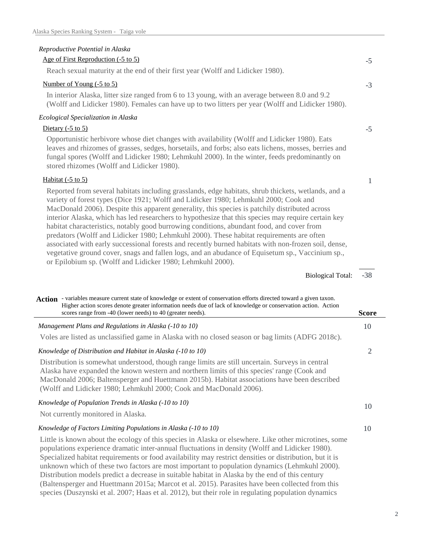# *Reproductive Potential in Alaska*

### Age of First Reproduction (-5 to 5)

Reach sexual maturity at the end of their first year (Wolff and Lidicker 1980).

#### Number of Young (-5 to 5)

In interior Alaska, litter size ranged from 6 to 13 young, with an average between 8.0 and 9.2 (Wolff and Lidicker 1980). Females can have up to two litters per year (Wolff and Lidicker 1980).

### *Ecological Specialization in Alaska*

### Dietary  $(-5 \text{ to } 5)$

Opportunistic herbivore whose diet changes with availability (Wolff and Lidicker 1980). Eats leaves and rhizomes of grasses, sedges, horsetails, and forbs; also eats lichens, mosses, berries and fungal spores (Wolff and Lidicker 1980; Lehmkuhl 2000). In the winter, feeds predominantly on stored rhizomes (Wolff and Lidicker 1980).

#### Habitat (-5 to 5)

Reported from several habitats including grasslands, edge habitats, shrub thickets, wetlands, and a variety of forest types (Dice 1921; Wolff and Lidicker 1980; Lehmkuhl 2000; Cook and MacDonald 2006). Despite this apparent generality, this species is patchily distributed across interior Alaska, which has led researchers to hypothesize that this species may require certain key habitat characteristics, notably good burrowing conditions, abundant food, and cover from predators (Wolff and Lidicker 1980; Lehmkuhl 2000). These habitat requirements are often associated with early successional forests and recently burned habitats with non-frozen soil, dense, vegetative ground cover, snags and fallen logs, and an abudance of Equisetum sp., Vaccinium sp., or Epilobium sp. (Wolff and Lidicker 1980; Lehmkuhl 2000).

> -38 Biological Total:

-5

-3

-5

1

| Action - variables measure current state of knowledge or extent of conservation efforts directed toward a given taxon.<br>Higher action scores denote greater information needs due of lack of knowledge or conservation action. Action                                                                                                                                                                                                                                                                                                                                                                                                                                                                                            |       |
|------------------------------------------------------------------------------------------------------------------------------------------------------------------------------------------------------------------------------------------------------------------------------------------------------------------------------------------------------------------------------------------------------------------------------------------------------------------------------------------------------------------------------------------------------------------------------------------------------------------------------------------------------------------------------------------------------------------------------------|-------|
| scores range from -40 (lower needs) to 40 (greater needs).                                                                                                                                                                                                                                                                                                                                                                                                                                                                                                                                                                                                                                                                         | Score |
| Management Plans and Regulations in Alaska (-10 to 10)                                                                                                                                                                                                                                                                                                                                                                                                                                                                                                                                                                                                                                                                             | 10    |
| Voles are listed as unclassified game in Alaska with no closed season or bag limits (ADFG 2018c).                                                                                                                                                                                                                                                                                                                                                                                                                                                                                                                                                                                                                                  |       |
| Knowledge of Distribution and Habitat in Alaska (-10 to 10)                                                                                                                                                                                                                                                                                                                                                                                                                                                                                                                                                                                                                                                                        | 2     |
| Distribution is somewhat understood, though range limits are still uncertain. Surveys in central<br>Alaska have expanded the known western and northern limits of this species' range (Cook and<br>MacDonald 2006; Baltensperger and Huettmann 2015b). Habitat associations have been described<br>(Wolff and Lidicker 1980; Lehmkuhl 2000; Cook and MacDonald 2006).                                                                                                                                                                                                                                                                                                                                                              |       |
| Knowledge of Population Trends in Alaska (-10 to 10)                                                                                                                                                                                                                                                                                                                                                                                                                                                                                                                                                                                                                                                                               | 10    |
| Not currently monitored in Alaska.                                                                                                                                                                                                                                                                                                                                                                                                                                                                                                                                                                                                                                                                                                 |       |
| Knowledge of Factors Limiting Populations in Alaska (-10 to 10)                                                                                                                                                                                                                                                                                                                                                                                                                                                                                                                                                                                                                                                                    | 10    |
| Little is known about the ecology of this species in Alaska or elsewhere. Like other microtines, some<br>populations experience dramatic inter-annual fluctuations in density (Wolff and Lidicker 1980).<br>Specialized habitat requirements or food availability may restrict densities or distribution, but it is<br>unknown which of these two factors are most important to population dynamics (Lehmkuhl 2000).<br>Distribution models predict a decrease in suitable habitat in Alaska by the end of this century<br>(Baltensperger and Huettmann 2015a; Marcot et al. 2015). Parasites have been collected from this<br>species (Duszynski et al. 2007; Haas et al. 2012), but their role in regulating population dynamics |       |